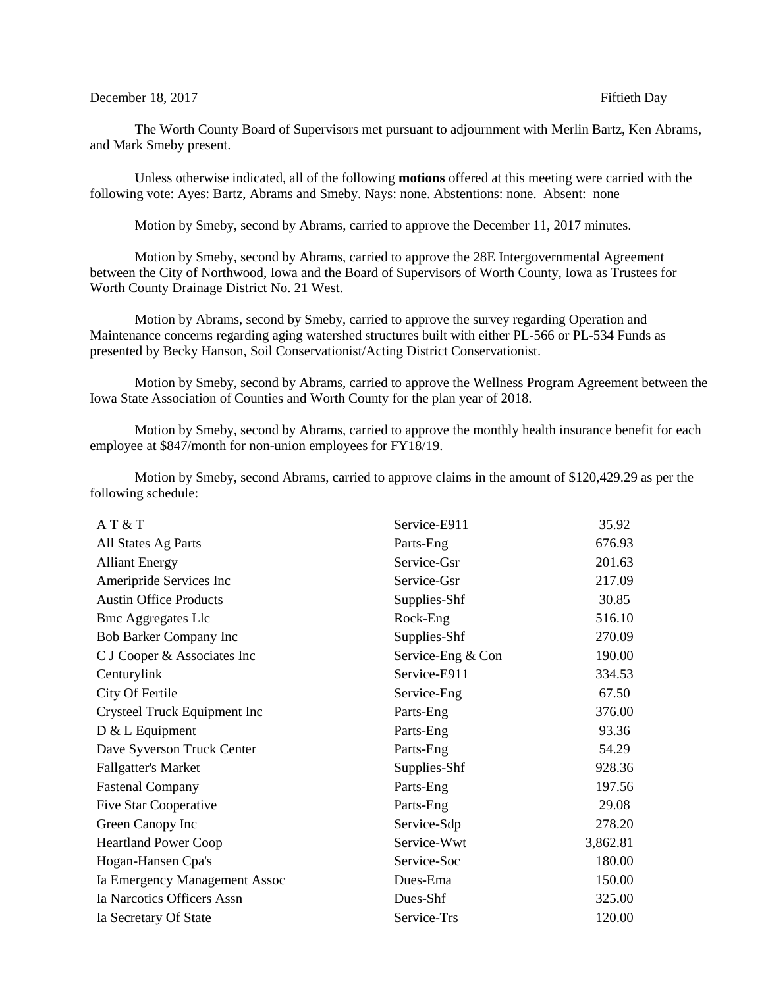## December 18, 2017 **Fiftieth Day**

The Worth County Board of Supervisors met pursuant to adjournment with Merlin Bartz, Ken Abrams, and Mark Smeby present.

Unless otherwise indicated, all of the following **motions** offered at this meeting were carried with the following vote: Ayes: Bartz, Abrams and Smeby. Nays: none. Abstentions: none. Absent: none

Motion by Smeby, second by Abrams, carried to approve the December 11, 2017 minutes.

Motion by Smeby, second by Abrams, carried to approve the 28E Intergovernmental Agreement between the City of Northwood, Iowa and the Board of Supervisors of Worth County, Iowa as Trustees for Worth County Drainage District No. 21 West.

Motion by Abrams, second by Smeby, carried to approve the survey regarding Operation and Maintenance concerns regarding aging watershed structures built with either PL-566 or PL-534 Funds as presented by Becky Hanson, Soil Conservationist/Acting District Conservationist.

Motion by Smeby, second by Abrams, carried to approve the Wellness Program Agreement between the Iowa State Association of Counties and Worth County for the plan year of 2018.

Motion by Smeby, second by Abrams, carried to approve the monthly health insurance benefit for each employee at \$847/month for non-union employees for FY18/19.

Motion by Smeby, second Abrams, carried to approve claims in the amount of \$120,429.29 as per the following schedule:

| AT&T                          | Service-E911      | 35.92    |
|-------------------------------|-------------------|----------|
| All States Ag Parts           | Parts-Eng         | 676.93   |
| <b>Alliant Energy</b>         | Service-Gsr       | 201.63   |
| Ameripride Services Inc       | Service-Gsr       | 217.09   |
| <b>Austin Office Products</b> | Supplies-Shf      | 30.85    |
| <b>Bmc Aggregates Llc</b>     | Rock-Eng          | 516.10   |
| Bob Barker Company Inc        | Supplies-Shf      | 270.09   |
| C J Cooper & Associates Inc   | Service-Eng & Con | 190.00   |
| Centurylink                   | Service-E911      | 334.53   |
| City Of Fertile               | Service-Eng       | 67.50    |
| Crysteel Truck Equipment Inc  | Parts-Eng         | 376.00   |
| D & L Equipment               | Parts-Eng         | 93.36    |
| Dave Syverson Truck Center    | Parts-Eng         | 54.29    |
| <b>Fallgatter's Market</b>    | Supplies-Shf      | 928.36   |
| <b>Fastenal Company</b>       | Parts-Eng         | 197.56   |
| Five Star Cooperative         | Parts-Eng         | 29.08    |
| Green Canopy Inc              | Service-Sdp       | 278.20   |
| <b>Heartland Power Coop</b>   | Service-Wwt       | 3,862.81 |
| Hogan-Hansen Cpa's            | Service-Soc       | 180.00   |
| Ia Emergency Management Assoc | Dues-Ema          | 150.00   |
| Ia Narcotics Officers Assn    | Dues-Shf          | 325.00   |
| Ia Secretary Of State         | Service-Trs       | 120.00   |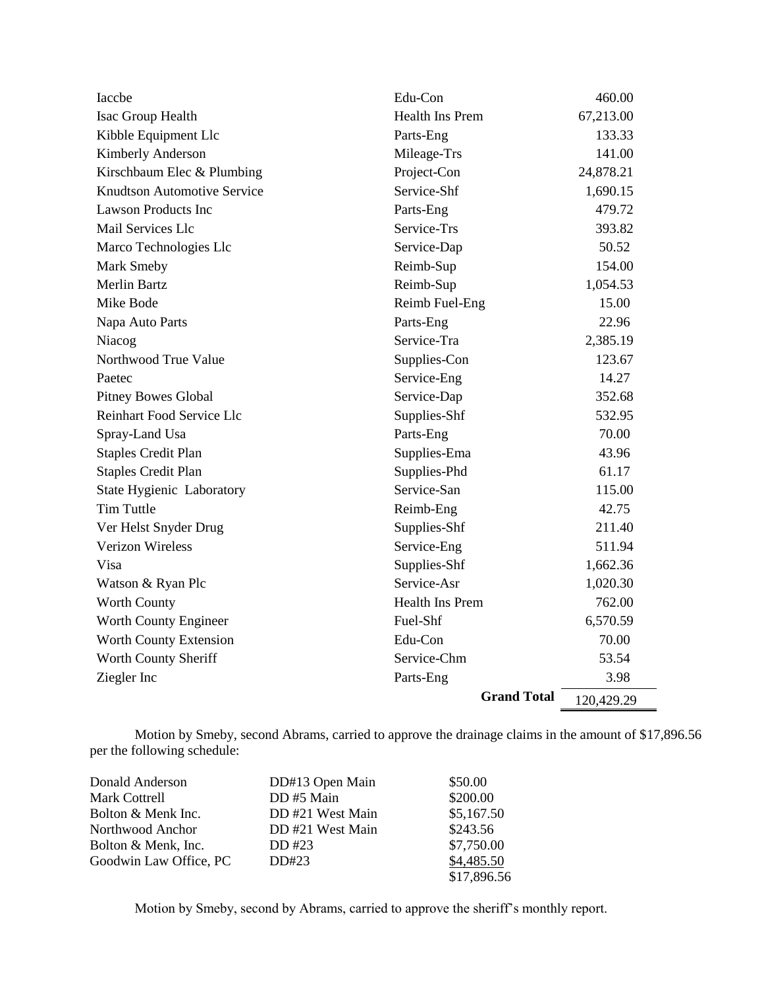| Iaccbe                             | Edu-Con                | 460.00     |
|------------------------------------|------------------------|------------|
| Isac Group Health                  | <b>Health Ins Prem</b> | 67,213.00  |
| Kibble Equipment Llc               | Parts-Eng              | 133.33     |
| Kimberly Anderson                  | Mileage-Trs            | 141.00     |
| Kirschbaum Elec & Plumbing         | Project-Con            | 24,878.21  |
| <b>Knudtson Automotive Service</b> | Service-Shf            | 1,690.15   |
| <b>Lawson Products Inc</b>         | Parts-Eng              | 479.72     |
| Mail Services Llc                  | Service-Trs            | 393.82     |
| Marco Technologies Llc             | Service-Dap            | 50.52      |
| Mark Smeby                         | Reimb-Sup              | 154.00     |
| <b>Merlin Bartz</b>                | Reimb-Sup              | 1,054.53   |
| Mike Bode                          | Reimb Fuel-Eng         | 15.00      |
| Napa Auto Parts                    | Parts-Eng              | 22.96      |
| Niacog                             | Service-Tra            | 2,385.19   |
| Northwood True Value               | Supplies-Con           | 123.67     |
| Paetec                             | Service-Eng            | 14.27      |
| Pitney Bowes Global                | Service-Dap            | 352.68     |
| <b>Reinhart Food Service Llc</b>   | Supplies-Shf           | 532.95     |
| Spray-Land Usa                     | Parts-Eng              | 70.00      |
| <b>Staples Credit Plan</b>         | Supplies-Ema           | 43.96      |
| <b>Staples Credit Plan</b>         | Supplies-Phd           | 61.17      |
| <b>State Hygienic Laboratory</b>   | Service-San            | 115.00     |
| <b>Tim Tuttle</b>                  | Reimb-Eng              | 42.75      |
| Ver Helst Snyder Drug              | Supplies-Shf           | 211.40     |
| <b>Verizon Wireless</b>            | Service-Eng            | 511.94     |
| Visa                               | Supplies-Shf           | 1,662.36   |
| Watson & Ryan Plc                  | Service-Asr            | 1,020.30   |
| <b>Worth County</b>                | <b>Health Ins Prem</b> | 762.00     |
| Worth County Engineer              | Fuel-Shf               | 6,570.59   |
| Worth County Extension             | Edu-Con                | 70.00      |
| Worth County Sheriff               | Service-Chm            | 53.54      |
| Ziegler Inc                        | Parts-Eng              | 3.98       |
|                                    | <b>Grand Total</b>     | 120,429.29 |

Motion by Smeby, second Abrams, carried to approve the drainage claims in the amount of \$17,896.56 per the following schedule:

| Donald Anderson        | DD#13 Open Main | \$50.00     |
|------------------------|-----------------|-------------|
| Mark Cottrell          | DD #5 Main      | \$200.00    |
| Bolton & Menk Inc.     | DD#21 West Main | \$5,167.50  |
| Northwood Anchor       | DD#21 West Main | \$243.56    |
| Bolton & Menk, Inc.    | DD #23          | \$7,750.00  |
| Goodwin Law Office, PC | DD#23           | \$4,485.50  |
|                        |                 | \$17,896.56 |

Motion by Smeby, second by Abrams, carried to approve the sheriff's monthly report.